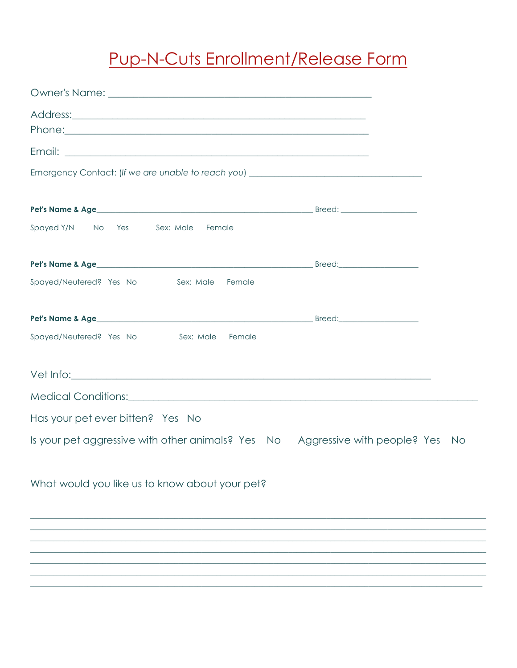## Pup-N-Cuts Enrollment/Release Form

| Phone: Phone and the contract of the contract of the contract of the contract of the contract of the contract of the contract of the contract of the contract of the contract of the contract of the contract of the contract |  |
|-------------------------------------------------------------------------------------------------------------------------------------------------------------------------------------------------------------------------------|--|
|                                                                                                                                                                                                                               |  |
| Emergency Contact: (If we are unable to reach you) ______________________________                                                                                                                                             |  |
|                                                                                                                                                                                                                               |  |
|                                                                                                                                                                                                                               |  |
| Spayed Y/N No Yes Sex: Male Female                                                                                                                                                                                            |  |
|                                                                                                                                                                                                                               |  |
| Spayed/Neutered? Yes No Sex: Male Female                                                                                                                                                                                      |  |
|                                                                                                                                                                                                                               |  |
| Spayed/Neutered? Yes No Sex: Male Female                                                                                                                                                                                      |  |
|                                                                                                                                                                                                                               |  |
|                                                                                                                                                                                                                               |  |
| Has your pet ever bitten? Yes No                                                                                                                                                                                              |  |
| Is your pet aggressive with other animals? Yes No Aggressive with people? Yes No                                                                                                                                              |  |
| What would you like us to know about your pet?                                                                                                                                                                                |  |
|                                                                                                                                                                                                                               |  |
|                                                                                                                                                                                                                               |  |
|                                                                                                                                                                                                                               |  |
|                                                                                                                                                                                                                               |  |
|                                                                                                                                                                                                                               |  |
|                                                                                                                                                                                                                               |  |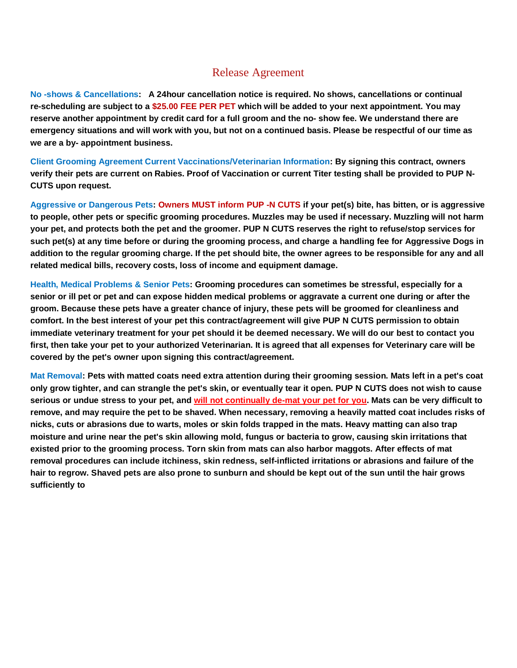## Release Agreement

**No -shows & Cancellations: A 24hour cancellation notice is required. No shows, cancellations or continual re-scheduling are subject to a \$25.00 FEE PER PET which will be added to your next appointment. You may reserve another appointment by credit card for a full groom and the no- show fee. We understand there are emergency situations and will work with you, but not on a continued basis. Please be respectful of our time as we are a by- appointment business.** 

**Client Grooming Agreement Current Vaccinations/Veterinarian Information: By signing this contract, owners verify their pets are current on Rabies. Proof of Vaccination or current Titer testing shall be provided to PUP N-CUTS upon request.** 

**Aggressive or Dangerous Pets: Owners MUST inform PUP -N CUTS if your pet(s) bite, has bitten, or is aggressive to people, other pets or specific grooming procedures. Muzzles may be used if necessary. Muzzling will not harm your pet, and protects both the pet and the groomer. PUP N CUTS reserves the right to refuse/stop services for such pet(s) at any time before or during the grooming process, and charge a handling fee for Aggressive Dogs in addition to the regular grooming charge. If the pet should bite, the owner agrees to be responsible for any and all related medical bills, recovery costs, loss of income and equipment damage.** 

**Health, Medical Problems & Senior Pets: Grooming procedures can sometimes be stressful, especially for a senior or ill pet or pet and can expose hidden medical problems or aggravate a current one during or after the groom. Because these pets have a greater chance of injury, these pets will be groomed for cleanliness and comfort. In the best interest of your pet this contract/agreement will give PUP N CUTS permission to obtain immediate veterinary treatment for your pet should it be deemed necessary. We will do our best to contact you first, then take your pet to your authorized Veterinarian. It is agreed that all expenses for Veterinary care will be covered by the pet's owner upon signing this contract/agreement.** 

**Mat Removal: Pets with matted coats need extra attention during their grooming session. Mats left in a pet's coat only grow tighter, and can strangle the pet's skin, or eventually tear it open. PUP N CUTS does not wish to cause serious or undue stress to your pet, and will not continually de-mat your pet for you. Mats can be very difficult to remove, and may require the pet to be shaved. When necessary, removing a heavily matted coat includes risks of nicks, cuts or abrasions due to warts, moles or skin folds trapped in the mats. Heavy matting can also trap moisture and urine near the pet's skin allowing mold, fungus or bacteria to grow, causing skin irritations that existed prior to the grooming process. Torn skin from mats can also harbor maggots. After effects of mat removal procedures can include itchiness, skin redness, self-inflicted irritations or abrasions and failure of the hair to regrow. Shaved pets are also prone to sunburn and should be kept out of the sun until the hair grows sufficiently to**